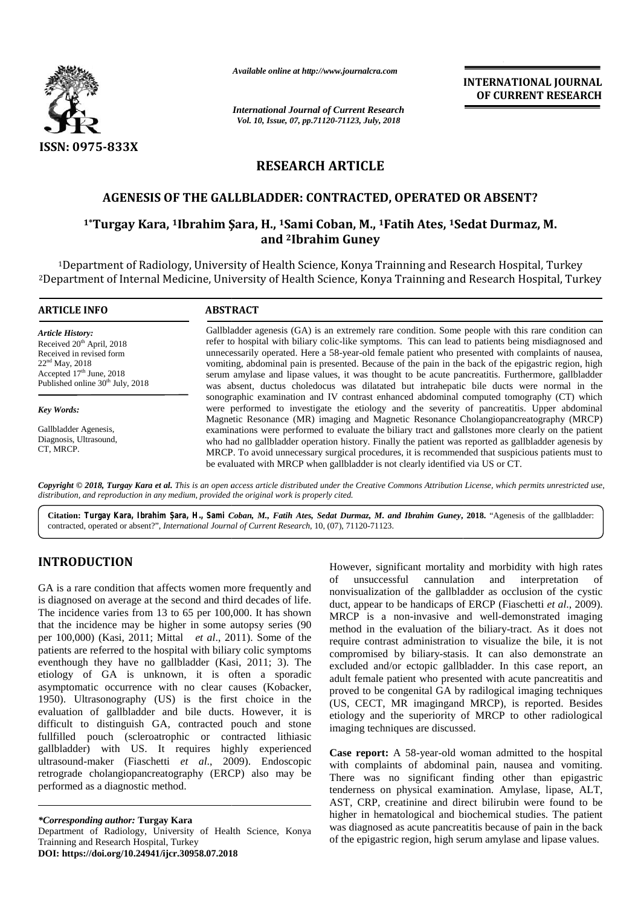

*Available online at http://www.journalcra.com*

## **RESEARCH ARTICLE**

### **AGENESIS OF THE GALLBLADDER: CONTRACTED, OPERATED OR ABSENT?**

# AGENESIS OF THE GALLBLADDER: CONTRACTED, OPERATED OR ABSENT?<br><sup>1</sup>\*Turgay Kara, <sup>1</sup>Ibrahim Şara, H., <sup>1</sup>Sami Coban, M., <sup>1</sup>Fatih Ates, <sup>1</sup>Sedat Durmaz, M. **and <sup>2</sup>Ibrahim Guney**

|                                                                                                                                                                                                                                                                                                                                                                                                                                                                                                                                                                                                                                                                                                                                                                                                                                                                                                                                                                                                                                                                                | Available online at http://www.journalcra.com                                                                                                                                                                                                                                                                                                                                                                                                                                                                                                                                                                                                                                                                              |                                                                                                                                                                                        | <b>INTERNATIONAL JOURNAL</b><br>OF CURRENT RESEARCH                                                                                                                                                                                                                                                                                                                                                                                                                                                                                                                                                                                                                                                                                                                                                                                                                                                                                                                                                                                                                                                                                            |  |
|--------------------------------------------------------------------------------------------------------------------------------------------------------------------------------------------------------------------------------------------------------------------------------------------------------------------------------------------------------------------------------------------------------------------------------------------------------------------------------------------------------------------------------------------------------------------------------------------------------------------------------------------------------------------------------------------------------------------------------------------------------------------------------------------------------------------------------------------------------------------------------------------------------------------------------------------------------------------------------------------------------------------------------------------------------------------------------|----------------------------------------------------------------------------------------------------------------------------------------------------------------------------------------------------------------------------------------------------------------------------------------------------------------------------------------------------------------------------------------------------------------------------------------------------------------------------------------------------------------------------------------------------------------------------------------------------------------------------------------------------------------------------------------------------------------------------|----------------------------------------------------------------------------------------------------------------------------------------------------------------------------------------|------------------------------------------------------------------------------------------------------------------------------------------------------------------------------------------------------------------------------------------------------------------------------------------------------------------------------------------------------------------------------------------------------------------------------------------------------------------------------------------------------------------------------------------------------------------------------------------------------------------------------------------------------------------------------------------------------------------------------------------------------------------------------------------------------------------------------------------------------------------------------------------------------------------------------------------------------------------------------------------------------------------------------------------------------------------------------------------------------------------------------------------------|--|
|                                                                                                                                                                                                                                                                                                                                                                                                                                                                                                                                                                                                                                                                                                                                                                                                                                                                                                                                                                                                                                                                                | <b>International Journal of Current Research</b><br>Vol. 10, Issue, 07, pp.71120-71123, July, 2018                                                                                                                                                                                                                                                                                                                                                                                                                                                                                                                                                                                                                         |                                                                                                                                                                                        |                                                                                                                                                                                                                                                                                                                                                                                                                                                                                                                                                                                                                                                                                                                                                                                                                                                                                                                                                                                                                                                                                                                                                |  |
| <b>ISSN: 0975-833X</b>                                                                                                                                                                                                                                                                                                                                                                                                                                                                                                                                                                                                                                                                                                                                                                                                                                                                                                                                                                                                                                                         |                                                                                                                                                                                                                                                                                                                                                                                                                                                                                                                                                                                                                                                                                                                            |                                                                                                                                                                                        |                                                                                                                                                                                                                                                                                                                                                                                                                                                                                                                                                                                                                                                                                                                                                                                                                                                                                                                                                                                                                                                                                                                                                |  |
|                                                                                                                                                                                                                                                                                                                                                                                                                                                                                                                                                                                                                                                                                                                                                                                                                                                                                                                                                                                                                                                                                |                                                                                                                                                                                                                                                                                                                                                                                                                                                                                                                                                                                                                                                                                                                            | <b>RESEARCH ARTICLE</b>                                                                                                                                                                |                                                                                                                                                                                                                                                                                                                                                                                                                                                                                                                                                                                                                                                                                                                                                                                                                                                                                                                                                                                                                                                                                                                                                |  |
|                                                                                                                                                                                                                                                                                                                                                                                                                                                                                                                                                                                                                                                                                                                                                                                                                                                                                                                                                                                                                                                                                | AGENESIS OF THE GALLBLADDER: CONTRACTED, OPERATED OR ABSENT?                                                                                                                                                                                                                                                                                                                                                                                                                                                                                                                                                                                                                                                               |                                                                                                                                                                                        |                                                                                                                                                                                                                                                                                                                                                                                                                                                                                                                                                                                                                                                                                                                                                                                                                                                                                                                                                                                                                                                                                                                                                |  |
|                                                                                                                                                                                                                                                                                                                                                                                                                                                                                                                                                                                                                                                                                                                                                                                                                                                                                                                                                                                                                                                                                | <sup>1</sup> *Turgay Kara, <sup>1</sup> Ibrahim Şara, H., <sup>1</sup> Sami Coban, M., <sup>1</sup> Fatih Ates, <sup>1</sup> Sedat Durmaz, M.                                                                                                                                                                                                                                                                                                                                                                                                                                                                                                                                                                              | and <sup>2</sup> Ibrahim Guney                                                                                                                                                         |                                                                                                                                                                                                                                                                                                                                                                                                                                                                                                                                                                                                                                                                                                                                                                                                                                                                                                                                                                                                                                                                                                                                                |  |
|                                                                                                                                                                                                                                                                                                                                                                                                                                                                                                                                                                                                                                                                                                                                                                                                                                                                                                                                                                                                                                                                                |                                                                                                                                                                                                                                                                                                                                                                                                                                                                                                                                                                                                                                                                                                                            |                                                                                                                                                                                        | <sup>1</sup> Department of Radiology, University of Health Science, Konya Trainning and Research Hospital, Turkey<br><sup>2</sup> Department of Internal Medicine, University of Health Science, Konya Trainning and Research Hospital, Turkey                                                                                                                                                                                                                                                                                                                                                                                                                                                                                                                                                                                                                                                                                                                                                                                                                                                                                                 |  |
| <b>ARTICLE INFO</b>                                                                                                                                                                                                                                                                                                                                                                                                                                                                                                                                                                                                                                                                                                                                                                                                                                                                                                                                                                                                                                                            | <b>ABSTRACT</b>                                                                                                                                                                                                                                                                                                                                                                                                                                                                                                                                                                                                                                                                                                            |                                                                                                                                                                                        |                                                                                                                                                                                                                                                                                                                                                                                                                                                                                                                                                                                                                                                                                                                                                                                                                                                                                                                                                                                                                                                                                                                                                |  |
| <b>Article History:</b><br>Received 20 <sup>th</sup> April, 2018<br>Received in revised form<br>$22nd$ May, 2018<br>Accepted 17th June, 2018<br>Published online 30 <sup>th</sup> July, 2018                                                                                                                                                                                                                                                                                                                                                                                                                                                                                                                                                                                                                                                                                                                                                                                                                                                                                   | Gallbladder agenesis (GA) is an extremely rare condition. Some people with this rare condition can<br>refer to hospital with biliary colic-like symptoms. This can lead to patients being misdiagnosed and<br>unnecessarily operated. Here a 58-year-old female patient who presented with complaints of nausea,<br>vomiting, abdominal pain is presented. Because of the pain in the back of the epigastric region, high<br>serum amylase and lipase values, it was thought to be acute pancreatitis. Furthermore, gallbladder<br>was absent, ductus choledocus was dilatated but intrahepatic bile ducts were normal in the<br>sonographic examination and IV contrast enhanced abdominal computed tomography (CT) which |                                                                                                                                                                                        |                                                                                                                                                                                                                                                                                                                                                                                                                                                                                                                                                                                                                                                                                                                                                                                                                                                                                                                                                                                                                                                                                                                                                |  |
| <b>Key Words:</b>                                                                                                                                                                                                                                                                                                                                                                                                                                                                                                                                                                                                                                                                                                                                                                                                                                                                                                                                                                                                                                                              |                                                                                                                                                                                                                                                                                                                                                                                                                                                                                                                                                                                                                                                                                                                            | were performed to investigate the etiology and the severity of pancreatitis. Upper abdominal<br>Magnetic Resonance (MR) imaging and Magnetic Resonance Cholangiopancreatography (MRCP) |                                                                                                                                                                                                                                                                                                                                                                                                                                                                                                                                                                                                                                                                                                                                                                                                                                                                                                                                                                                                                                                                                                                                                |  |
| Gallbladder Agenesis,<br>Diagnosis, Ultrasound,<br>CT, MRCP.                                                                                                                                                                                                                                                                                                                                                                                                                                                                                                                                                                                                                                                                                                                                                                                                                                                                                                                                                                                                                   | examinations were performed to evaluate the biliary tract and gallstones more clearly on the patient<br>who had no gallbladder operation history. Finally the patient was reported as gallbladder agenesis by<br>MRCP. To avoid unnecessary surgical procedures, it is recommended that suspicious patients must to<br>be evaluated with MRCP when gallbladder is not clearly identified via US or CT.                                                                                                                                                                                                                                                                                                                     |                                                                                                                                                                                        |                                                                                                                                                                                                                                                                                                                                                                                                                                                                                                                                                                                                                                                                                                                                                                                                                                                                                                                                                                                                                                                                                                                                                |  |
|                                                                                                                                                                                                                                                                                                                                                                                                                                                                                                                                                                                                                                                                                                                                                                                                                                                                                                                                                                                                                                                                                | distribution, and reproduction in any medium, provided the original work is properly cited.                                                                                                                                                                                                                                                                                                                                                                                                                                                                                                                                                                                                                                |                                                                                                                                                                                        | Copyright © 2018, Turgay Kara et al. This is an open access article distributed under the Creative Commons Attribution License, which permits unrestricted use,                                                                                                                                                                                                                                                                                                                                                                                                                                                                                                                                                                                                                                                                                                                                                                                                                                                                                                                                                                                |  |
|                                                                                                                                                                                                                                                                                                                                                                                                                                                                                                                                                                                                                                                                                                                                                                                                                                                                                                                                                                                                                                                                                | contracted, operated or absent?", International Journal of Current Research, 10, (07), 71120-71123.                                                                                                                                                                                                                                                                                                                                                                                                                                                                                                                                                                                                                        |                                                                                                                                                                                        | Citation: Turgay Kara, Ibrahim ara, H., Sami Coban, M., Fatih Ates, Sedat Durmaz, M. and Ibrahim Guney, 2018. "Agenesis of the gallbladder:                                                                                                                                                                                                                                                                                                                                                                                                                                                                                                                                                                                                                                                                                                                                                                                                                                                                                                                                                                                                    |  |
| <b>INTRODUCTION</b><br>GA is a rare condition that affects women more frequently and<br>is diagnosed on average at the second and third decades of life.<br>The incidence varies from 13 to 65 per 100,000. It has shown<br>that the incidence may be higher in some autopsy series (90<br>per $100,000$ (Kasi, 2011; Mittal <i>et al.</i> , 2011). Some of the<br>patients are referred to the hospital with biliary colic symptoms<br>eventhough they have no gallbladder (Kasi, 2011; 3). The<br>etiology of GA is unknown, it is often a sporadic<br>asymptomatic occurrence with no clear causes (Kobacker,<br>1950). Ultrasonography (US) is the first choice in the<br>evaluation of gallbladder and bile ducts. However, it is<br>difficult to distinguish GA, contracted pouch and stone<br>fullfilled pouch (scleroatrophic or contracted lithiasic<br>gallbladder) with US. It requires highly experienced<br>ultrasound-maker (Fiaschetti et al., 2009). Endoscopic<br>retrograde cholangiopancreatography (ERCP) also may be<br>performed as a diagnostic method. |                                                                                                                                                                                                                                                                                                                                                                                                                                                                                                                                                                                                                                                                                                                            | unsuccessful<br>of<br>imaging techniques are discussed.                                                                                                                                | However, significant mortality and morbidity with high rates<br>cannulation<br>and<br>interpretation<br>of<br>nonvisualization of the gallbladder as occlusion of the cystic<br>duct, appear to be handicaps of ERCP (Fiaschetti et al., 2009).<br>MRCP is a non-invasive and well-demonstrated imaging<br>method in the evaluation of the biliary-tract. As it does not<br>require contrast administration to visualize the bile, it is not<br>compromised by biliary-stasis. It can also demonstrate an<br>excluded and/or ectopic gallbladder. In this case report, an<br>adult female patient who presented with acute pancreatitis and<br>proved to be congenital GA by radilogical imaging techniques<br>(US, CECT, MR imagingand MRCP), is reported. Besides<br>etiology and the superiority of MRCP to other radiological<br>Case report: A 58-year-old woman admitted to the hospital<br>with complaints of abdominal pain, nausea and vomiting.<br>There was no significant finding other than epigastric<br>tenderness on physical examination. Amylase, lipase, ALT,<br>AST, CRP, creatinine and direct bilirubin were found to be |  |
| *Corresponding author: Turgay Kara<br>Department of Radiology, University of Health Science, Konya<br>Trainning and Research Hospital, Turkey<br>DOI: https://doi.org/10.24941/ijcr.30958.07.2018                                                                                                                                                                                                                                                                                                                                                                                                                                                                                                                                                                                                                                                                                                                                                                                                                                                                              |                                                                                                                                                                                                                                                                                                                                                                                                                                                                                                                                                                                                                                                                                                                            |                                                                                                                                                                                        | higher in hematological and biochemical studies. The patient<br>was diagnosed as acute pancreatitis because of pain in the back<br>of the epigastric region, high serum amylase and lipase values.                                                                                                                                                                                                                                                                                                                                                                                                                                                                                                                                                                                                                                                                                                                                                                                                                                                                                                                                             |  |

### **INTRODUCTION INTRODUCTION**

*<sup>\*</sup>Corresponding author:* **Turgay Kara** *\*Corresponding*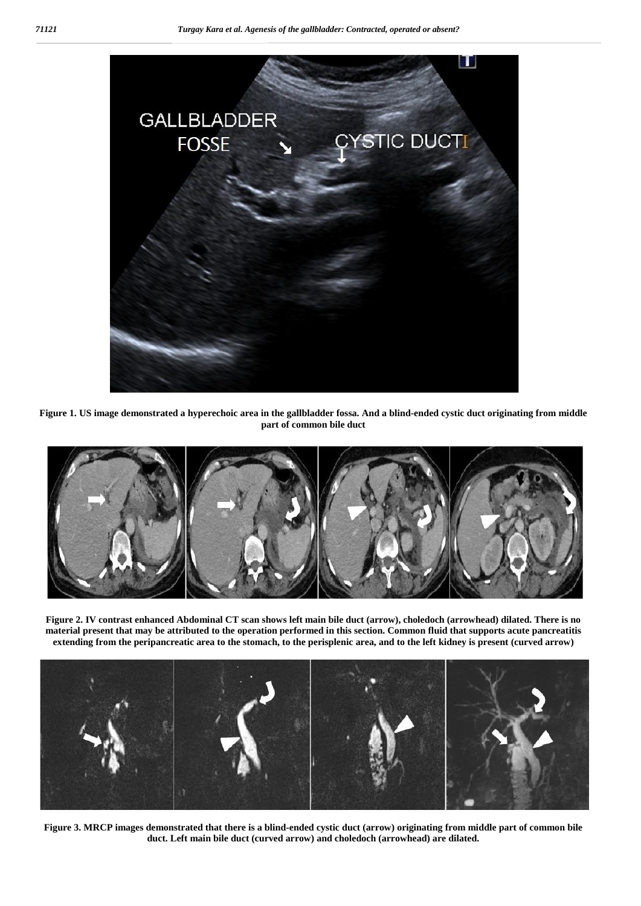

**Figure 1. US image demonstrated a hyperechoic area in the gallbladder fossa. And a blind-ended cystic duct originating from middle part of common bile duct**



**Figure 2. IV contrast enhanced Abdominal CT scan shows left main bile duct (arrow), choledoch (arrowhead) dilated. There is no material present that may be attributed to the operation performed in this section. Common fluid that supports acute pancreatitis extending from the peripancreatic area to the stomach, to the perisplenic area, and to the left kidney is present (curved arrow)**



**Figure 3. MRCP images demonstrated that there is a blind-ended cystic duct (arrow) originating from middle part of common bile duct. Left main bile duct (curved arrow) and choledoch (arrowhead) are dilated.**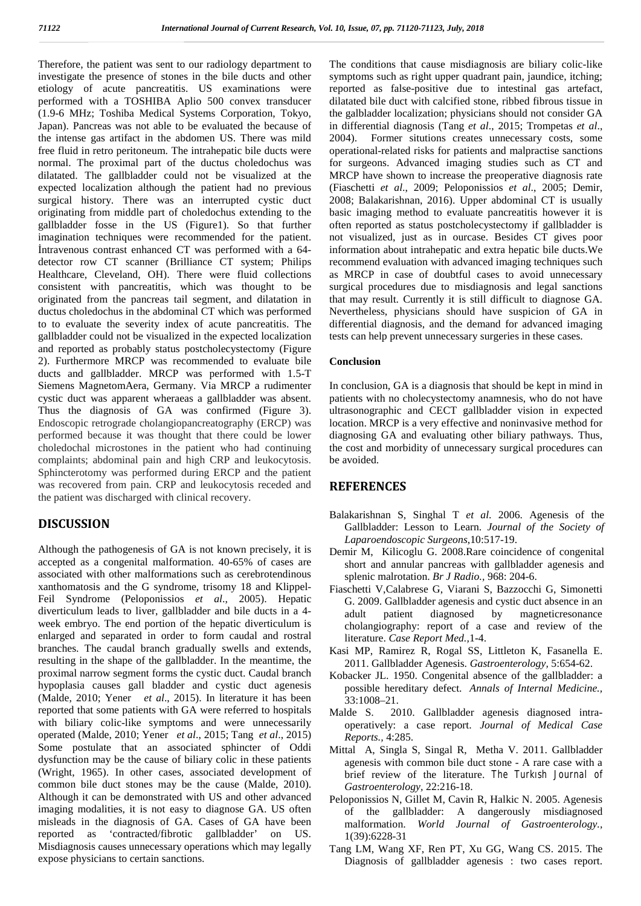Therefore, the patient was sent to our radiology department to investigate the presence of stones in the bile ducts and other etiology of acute pancreatitis. US examinations were performed with a TOSHIBA Aplio 500 convex transducer (1.9-6 MHz; Toshiba Medical Systems Corporation, Tokyo, Japan). Pancreas was not able to be evaluated the because of the intense gas artifact in the abdomen US. There was mild free fluid in retro peritoneum. The intrahepatic bile ducts were normal. The proximal part of the ductus choledochus was dilatated. The gallbladder could not be visualized at the expected localization although the patient had no previous surgical history. There was an interrupted cystic duct originating from middle part of choledochus extending to the gallbladder fosse in the US (Figure1). So that further imagination techniques were recommended for the patient. İntravenous contrast enhanced CT was performed with a 64 detector row CT scanner (Brilliance CT system; Philips Healthcare, Cleveland, OH). There were fluid collections consistent with pancreatitis, which was thought to be originated from the pancreas tail segment, and dilatation in ductus choledochus in the abdominal CT which was performed to to evaluate the severity index of acute pancreatitis. The gallbladder could not be visualized in the expected localization and reported as probably status postcholecystectomy (Figure 2). Furthermore MRCP was recommended to evaluate bile ducts and gallbladder. MRCP was performed with 1.5-T Siemens MagnetomAera, Germany. Via MRCP a rudimenter cystic duct was apparent wheraeas a gallbladder was absent. Thus the diagnosis of GA was confirmed (Figure 3). Endoscopic retrograde cholangiopancreatography (ERCP) was performed because it was thought that there could be lower choledochal microstones in the patient who had continuing complaints; abdominal pain and high CRP and leukocytosis. Sphincterotomy was performed during ERCP and the patient was recovered from pain. CRP and leukocytosis receded and the patient was discharged with clinical recovery.

### **DISCUSSION**

Although the pathogenesis of GA is not known precisely, it is accepted as a congenital malformation. 40-65% of cases are associated with other malformations such as cerebrotendinous xanthomatosis and the G syndrome, trisomy 18 and Klippel- Feil Syndrome (Peloponissios *et al*., 2005). Hepatic diverticulum leads to liver, gallbladder and bile ducts in a 4 week embryo. The end portion of the hepatic diverticulum is enlarged and separated in order to form caudal and rostral branches. The caudal branch gradually swells and extends, resulting in the shape of the gallbladder. In the meantime, the proximal narrow segment forms the cystic duct. Caudal branch hypoplasia causes gall bladder and cystic duct agenesis (Malde, 2010; Yener *et al*., 2015). In literature it has been reported that some patients with GA were referred to hospitals Malde S. with biliary colic-like symptoms and were unnecessarily operated (Malde, 2010; Yener *et al*., 2015; Tang *et al*., 2015) Some postulate that an associated sphincter of Oddi dysfunction may be the cause of biliary colic in these patients (Wright, 1965). In other cases, associated development of common bile duct stones may be the cause (Malde, 2010). Although it can be demonstrated with US and other advanced imaging modalities, it is not easy to diagnose GA. US often misleads in the diagnosis of GA. Cases of GA have been reported as 'contracted/fibrotic gallbladder' on US. Misdiagnosis causes unnecessary operations which may legally expose physicians to certain sanctions.

The conditions that cause misdiagnosis are biliary colic-like symptoms such as right upper quadrant pain, jaundice, itching; reported as false-positive due to intestinal gas artefact, dilatated bile duct with calcified stone, ribbed fibrous tissue in the galbladder localization; physicians should not consider GA in differential diagnosis (Tang *et al*., 2015; Trompetas *et al*., Former situtions creates unnecessary costs, some operational-related risks for patients and malpractise sanctions for surgeons. Advanced imaging studies such as CT and MRCP have shown to increase the preoperative diagnosis rate (Fiaschetti *et al*., 2009; Peloponissios *et al*., 2005; Demir, 2008; Balakarishnan, 2016). Upper abdominal CT is usually basic imaging method to evaluate pancreatitis however it is often reported as status postcholecystectomy if gallbladder is not visualized, just as in ourcase. Besides CT gives poor information about intrahepatic and extra hepatic bile ducts.We recommend evaluation with advanced imaging techniques such as MRCP in case of doubtful cases to avoid unnecessary surgical procedures due to misdiagnosis and legal sanctions that may result. Currently it is still difficult to diagnose GA. Nevertheless, physicians should have suspicion of GA in differential diagnosis, and the demand for advanced imaging tests can help prevent unnecessary surgeries in these cases.

#### **Conclusion**

In conclusion, GA is a diagnosis that should be kept in mind in patients with no cholecystectomy anamnesis, who do not have ultrasonographic and CECT gallbladder vision in expected location. MRCP is a very effective and noninvasive method for diagnosing GA and evaluating other biliary pathways. Thus, the cost and morbidity of unnecessary surgical procedures can be avoided.

#### **REFERENCES**

- Balakarishnan S, Singhal T *et al*. 2006. Agenesis of the Gallbladder: Lesson to Learn. *Journal of the Society of Laparoendoscopic Surgeons*,10:517-19.
- Demir M, Kilicoglu G. 2008.Rare coincidence of congenital short and annular pancreas with gallbladder agenesis and splenic malrotation. *Br J Radio.,* 968: 204-6.
- Fiaschetti V,Calabrese G, Viarani S, Bazzocchi G, Simonetti G. 2009. Gallbladder agenesis and cystic duct absence in an adult patient diagnosed by magneticresonance cholangiography: report of a case and review of the literature. *Case Report Med.,*1-4.
- Kasi MP, Ramirez R, Rogal SS, Littleton K, Fasanella E. 2011. Gallbladder Agenesis. *Gastroenterology,* 5:654-62.
- Kobacker JL. 1950. Congenital absence of the gallbladder: a possible hereditary defect. *Annals of Internal Medicine.,* 33:1008–21.
- 2010. Gallbladder agenesis diagnosed intraoperatively: a case report. *Journal of Medical Case Reports.,* 4:285.
- Mittal A, Singla S, Singal R, Metha V. 2011. Gallbladder agenesis with common bile duct stone - A rare case with a brief review of the literature. *The Turkısh Journal of Gastroenterology,* 22:216-18.
- Peloponissios N, Gillet M, Cavin R, Halkic N. 2005. Agenesis of the gallbladder: A dangerously misdiagnosed malformation. *World Journal of Gastroenterology.,* 1(39):6228-31
- Tang LM, Wang XF, Ren PT, Xu GG, Wang CS. 2015. The Diagnosis of gallbladder agenesis : two cases report.